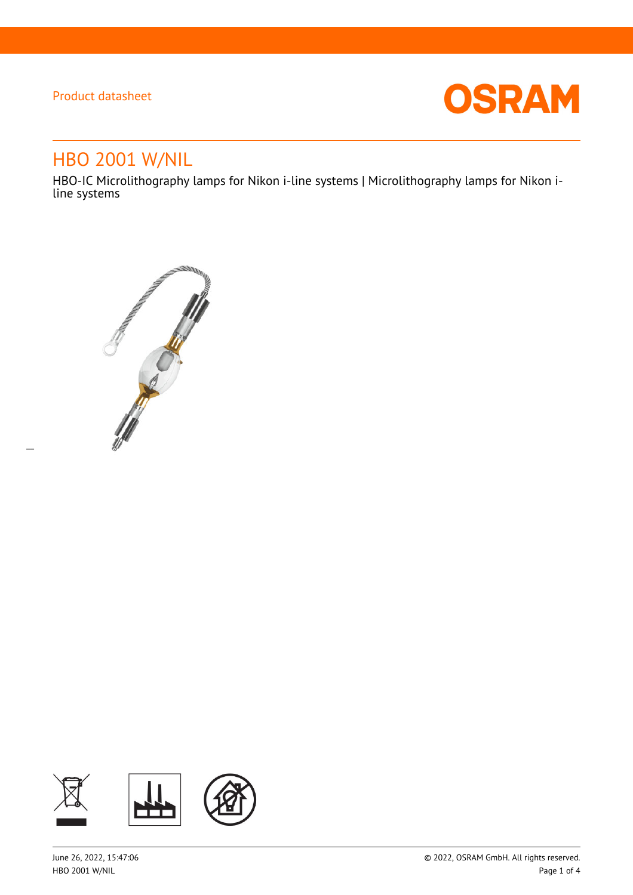$\overline{a}$ 



# HBO 2001 W/NIL

HBO-IC Microlithography lamps for Nikon i-line systems | Microlithography lamps for Nikon iline systems



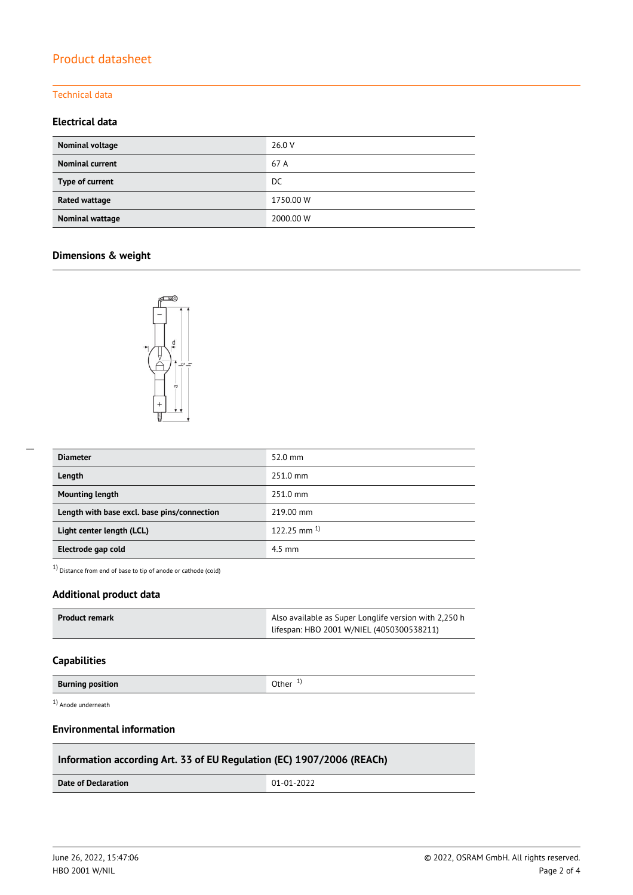#### Technical data

## **Electrical data**

| Nominal voltage        | 26.0 V    |
|------------------------|-----------|
| <b>Nominal current</b> | 67 A      |
| Type of current        | DC.       |
| Rated wattage          | 1750.00 W |
| Nominal wattage        | 2000.00 W |

## **Dimensions & weight**



| <b>Diameter</b>                             | $52.0$ mm          |
|---------------------------------------------|--------------------|
| Length                                      | 251.0 mm           |
| <b>Mounting length</b>                      | 251.0 mm           |
| Length with base excl. base pins/connection | 219.00 mm          |
| Light center length (LCL)                   | $122.25$ mm $^{1}$ |
| Electrode gap cold                          | $4.5$ mm           |

1) Distance from end of base to tip of anode or cathode (cold)

## **Additional product data**

| Product remark | Also available as Super Longlife version with 2,250 h |  |
|----------------|-------------------------------------------------------|--|
|                | lifespan: HBO 2001 W/NIEL (4050300538211)             |  |

#### **Capabilities**

**Burning position Burning position C Burning in the U Other** 1<sup>)</sup>

1) Anode underneath

## **Environmental information**

## **Information according Art. 33 of EU Regulation (EC) 1907/2006 (REACh)**

**Date of Declaration** 01-01-2022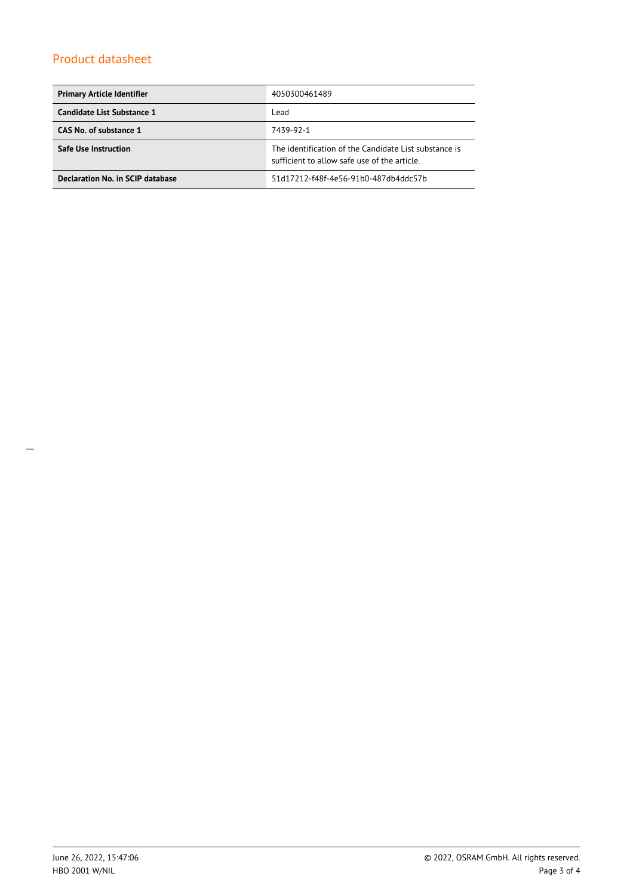| <b>Primary Article Identifier</b> | 4050300461489                                                                                         |  |
|-----------------------------------|-------------------------------------------------------------------------------------------------------|--|
| Candidate List Substance 1        | Lead                                                                                                  |  |
| CAS No. of substance 1            | 7439-92-1                                                                                             |  |
| Safe Use Instruction              | The identification of the Candidate List substance is<br>sufficient to allow safe use of the article. |  |
| Declaration No. in SCIP database  | 51d17212-f48f-4e56-91b0-487db4ddc57b                                                                  |  |

\_\_